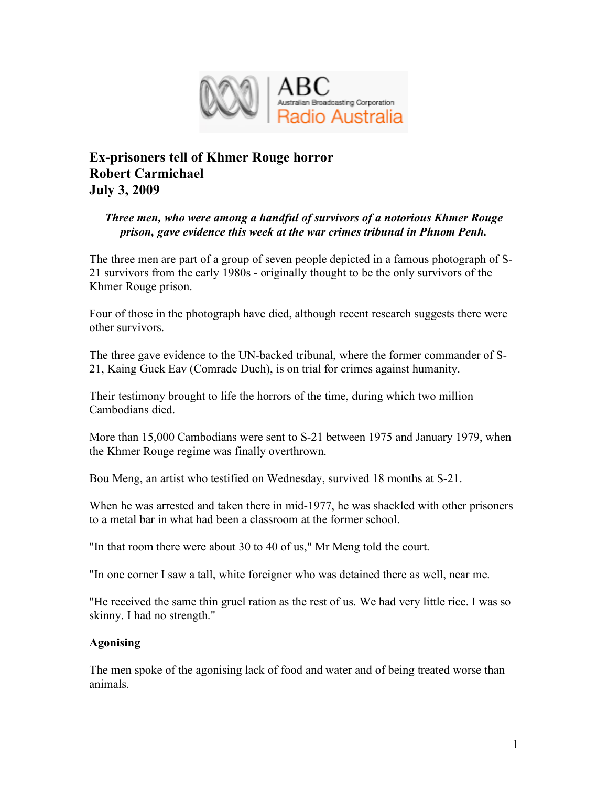

# **Ex-prisoners tell of Khmer Rouge horror Robert Carmichael July 3, 2009**

## *Three men, who were among a handful of survivors of a notorious Khmer Rouge prison, gave evidence this week at the war crimes tribunal in Phnom Penh.*

The three men are part of a group of seven people depicted in a famous photograph of S-21 survivors from the early 1980s - originally thought to be the only survivors of the Khmer Rouge prison.

Four of those in the photograph have died, although recent research suggests there were other survivors.

The three gave evidence to the UN-backed tribunal, where the former commander of S-21, Kaing Guek Eav (Comrade Duch), is on trial for crimes against humanity.

Their testimony brought to life the horrors of the time, during which two million Cambodians died.

More than 15,000 Cambodians were sent to S-21 between 1975 and January 1979, when the Khmer Rouge regime was finally overthrown.

Bou Meng, an artist who testified on Wednesday, survived 18 months at S-21.

When he was arrested and taken there in mid-1977, he was shackled with other prisoners to a metal bar in what had been a classroom at the former school.

"In that room there were about 30 to 40 of us," Mr Meng told the court.

"In one corner I saw a tall, white foreigner who was detained there as well, near me.

"He received the same thin gruel ration as the rest of us. We had very little rice. I was so skinny. I had no strength."

## **Agonising**

The men spoke of the agonising lack of food and water and of being treated worse than animals.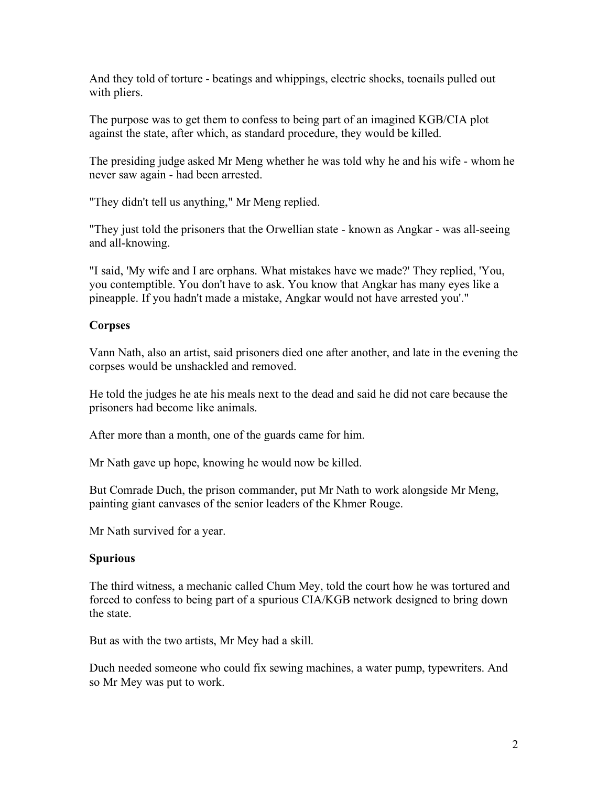And they told of torture - beatings and whippings, electric shocks, toenails pulled out with pliers.

The purpose was to get them to confess to being part of an imagined KGB/CIA plot against the state, after which, as standard procedure, they would be killed.

The presiding judge asked Mr Meng whether he was told why he and his wife - whom he never saw again - had been arrested.

"They didn't tell us anything," Mr Meng replied.

"They just told the prisoners that the Orwellian state - known as Angkar - was all-seeing and all-knowing.

"I said, 'My wife and I are orphans. What mistakes have we made?' They replied, 'You, you contemptible. You don't have to ask. You know that Angkar has many eyes like a pineapple. If you hadn't made a mistake, Angkar would not have arrested you'."

## **Corpses**

Vann Nath, also an artist, said prisoners died one after another, and late in the evening the corpses would be unshackled and removed.

He told the judges he ate his meals next to the dead and said he did not care because the prisoners had become like animals.

After more than a month, one of the guards came for him.

Mr Nath gave up hope, knowing he would now be killed.

But Comrade Duch, the prison commander, put Mr Nath to work alongside Mr Meng, painting giant canvases of the senior leaders of the Khmer Rouge.

Mr Nath survived for a year.

## **Spurious**

The third witness, a mechanic called Chum Mey, told the court how he was tortured and forced to confess to being part of a spurious CIA/KGB network designed to bring down the state.

But as with the two artists, Mr Mey had a skill.

Duch needed someone who could fix sewing machines, a water pump, typewriters. And so Mr Mey was put to work.